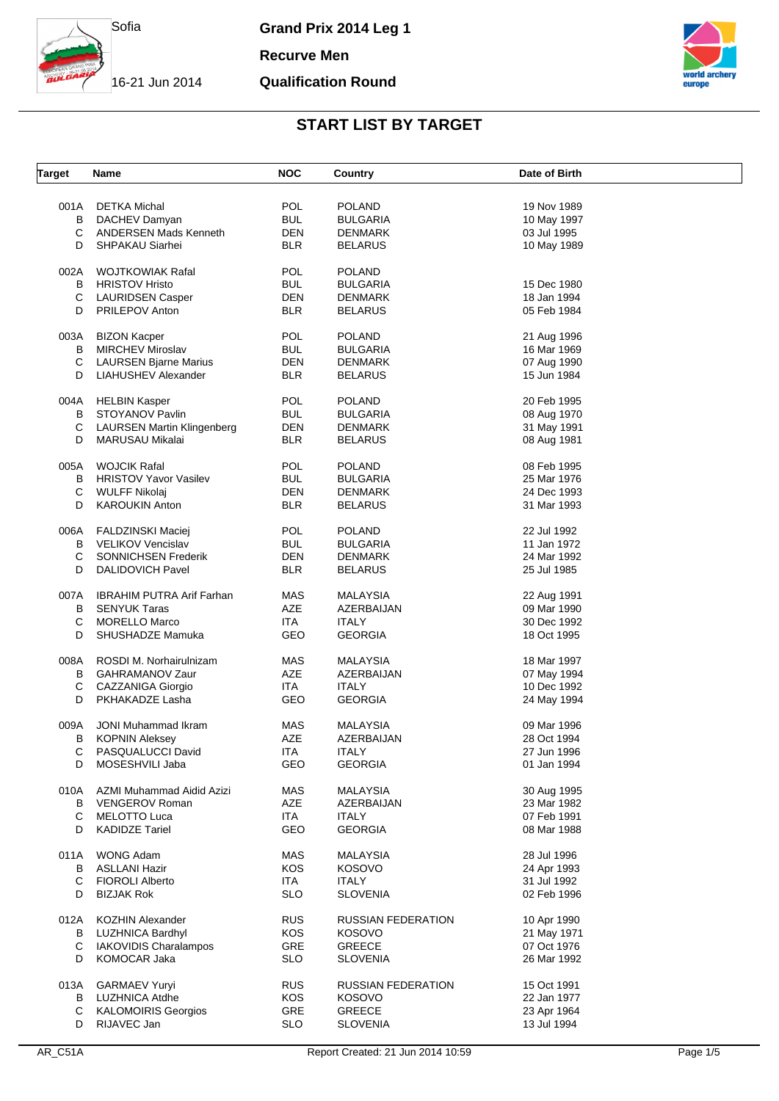

**Recurve Men**

#### **Qualification Round**



| <b>Target</b> | Name                                  | <b>NOC</b> | Country                 | Date of Birth              |  |
|---------------|---------------------------------------|------------|-------------------------|----------------------------|--|
|               |                                       |            |                         |                            |  |
| 001A          | <b>DETKA Michal</b>                   | <b>POL</b> | <b>POLAND</b>           | 19 Nov 1989                |  |
| в             | DACHEV Damyan                         | <b>BUL</b> | BULGARIA                | 10 May 1997                |  |
| С             | <b>ANDERSEN Mads Kenneth</b>          | DEN        | <b>DENMARK</b>          | 03 Jul 1995                |  |
| D             | SHPAKAU Siarhei                       | <b>BLR</b> | BELARUS                 | 10 May 1989                |  |
|               |                                       |            |                         |                            |  |
| 002A          | <b>WOJTKOWIAK Rafal</b>               | <b>POL</b> | POLAND                  |                            |  |
| В             | <b>HRISTOV Hristo</b>                 | <b>BUL</b> | BULGARIA                | 15 Dec 1980                |  |
| С             | <b>LAURIDSEN Casper</b>               | <b>DEN</b> | <b>DENMARK</b>          | 18 Jan 1994                |  |
| D             | <b>PRILEPOV Anton</b>                 | <b>BLR</b> | BELARUS                 | 05 Feb 1984                |  |
|               |                                       | <b>POL</b> | <b>POLAND</b>           |                            |  |
| 003A          | <b>BIZON Kacper</b>                   |            |                         | 21 Aug 1996                |  |
| В             | MIRCHEV Miroslav                      | <b>BUL</b> | BULGARIA                | 16 Mar 1969                |  |
| С             | <b>LAURSEN Bjarne Marius</b>          | DEN        | DENMARK                 | 07 Aug 1990                |  |
| D             | LIAHUSHEV Alexander                   | <b>BLR</b> | BELARUS                 | 15 Jun 1984                |  |
| 004A          | <b>HELBIN Kasper</b>                  | POL        | POLAND                  | 20 Feb 1995                |  |
| В             | STOYANOV Pavlin                       | <b>BUL</b> | BULGARIA                | 08 Aug 1970                |  |
|               |                                       | <b>DEN</b> |                         |                            |  |
| С             | <b>LAURSEN Martin Klingenberg</b>     |            | <b>DENMARK</b>          | 31 May 1991                |  |
| D             | <b>MARUSAU Mikalai</b>                | <b>BLR</b> | <b>BELARUS</b>          | 08 Aug 1981                |  |
| 005A          | <b>WOJCIK Rafal</b>                   | POL        | POLAND                  | 08 Feb 1995                |  |
| В             | <b>HRISTOV Yavor Vasilev</b>          | <b>BUL</b> | BULGARIA                | 25 Mar 1976                |  |
| C             | WULFF Nikolaj                         | <b>DEN</b> | DENMARK                 | 24 Dec 1993                |  |
|               |                                       |            |                         |                            |  |
| D             | <b>KAROUKIN Anton</b>                 | <b>BLR</b> | BELARUS                 | 31 Mar 1993                |  |
| 006A          | <b>FALDZINSKI Maciej</b>              | POL        | <b>POLAND</b>           | 22 Jul 1992                |  |
| в             | <b>VELIKOV Vencislav</b>              | <b>BUL</b> | <b>BULGARIA</b>         | 11 Jan 1972                |  |
| C             | <b>SONNICHSEN Frederik</b>            | <b>DEN</b> | DENMARK                 | 24 Mar 1992                |  |
| D             | <b>DALIDOVICH Pavel</b>               | <b>BLR</b> | BELARUS                 | 25 Jul 1985                |  |
|               |                                       |            |                         |                            |  |
| 007A          | <b>IBRAHIM PUTRA Arif Farhan</b>      | <b>MAS</b> | MALAYSIA                | 22 Aug 1991                |  |
| B             | <b>SENYUK Taras</b>                   | AZE        | AZERBAIJAN              | 09 Mar 1990                |  |
| С             | <b>MORELLO Marco</b>                  | ITA.       | <b>ITALY</b>            | 30 Dec 1992                |  |
| D             | SHUSHADZE Mamuka                      | GEO        | <b>GEORGIA</b>          | 18 Oct 1995                |  |
|               |                                       |            |                         |                            |  |
| 008A          | ROSDI M. Norhairulnizam               | MAS        | MALAYSIA                | 18 Mar 1997                |  |
| В             | GAHRAMANOV Zaur                       | AZE        | AZERBAIJAN              | 07 May 1994                |  |
| C             | CAZZANIGA Giorgio                     | ITA        | <b>ITALY</b>            | 10 Dec 1992                |  |
| D             | PKHAKADZE Lasha                       | <b>GEO</b> | <b>GEORGIA</b>          | 24 May 1994                |  |
|               | <b>JONI Muhammad Ikram</b>            |            |                         |                            |  |
| 009A          |                                       | MAS        | <b>MALAYSIA</b>         | 09 Mar 1996                |  |
| в             | <b>KOPNIN Aleksey</b>                 | AZE        | AZERBAIJAN              | 28 Oct 1994                |  |
| C             | PASQUALUCCI David                     | <b>ITA</b> | <b>ITALY</b>            | 27 Jun 1996                |  |
| D             | MOSESHVILI Jaba                       | GEO        | <b>GEORGIA</b>          | 01 Jan 1994                |  |
| 010A          | AZMI Muhammad Aidid Azizi             | MAS        | <b>MALAYSIA</b>         | 30 Aug 1995                |  |
| В             | <b>VENGEROV Roman</b>                 | AZE        | AZERBAIJAN              | 23 Mar 1982                |  |
|               |                                       |            |                         |                            |  |
| С<br>D        | MELOTTO Luca<br><b>KADIDZE Tariel</b> | ITA<br>GEO | ITALY<br><b>GEORGIA</b> | 07 Feb 1991<br>08 Mar 1988 |  |
|               |                                       |            |                         |                            |  |
| 011A          | WONG Adam                             | <b>MAS</b> | MALAYSIA                | 28 Jul 1996                |  |
| в             | <b>ASLLANI Hazir</b>                  | KOS        | <b>KOSOVO</b>           | 24 Apr 1993                |  |
| С             | <b>FIOROLI Alberto</b>                | ITA        | ITALY                   | 31 Jul 1992                |  |
| D             | <b>BIZJAK Rok</b>                     | <b>SLO</b> | <b>SLOVENIA</b>         | 02 Feb 1996                |  |
|               |                                       |            |                         |                            |  |
| 012A          | <b>KOZHIN Alexander</b>               | <b>RUS</b> | RUSSIAN FEDERATION      | 10 Apr 1990                |  |
|               | <b>B</b> LUZHNICA Bardhyl             | KOS        | <b>KOSOVO</b>           | 21 May 1971                |  |
| С             | <b>IAKOVIDIS Charalampos</b>          | GRE        | <b>GREECE</b>           | 07 Oct 1976                |  |
| D             | KOMOCAR Jaka                          | <b>SLO</b> | <b>SLOVENIA</b>         | 26 Mar 1992                |  |
|               |                                       |            |                         |                            |  |
| 013A          | <b>GARMAEV Yuryi</b>                  | <b>RUS</b> | RUSSIAN FEDERATION      | 15 Oct 1991                |  |
| В             | LUZHNICA Atdhe                        | <b>KOS</b> | <b>KOSOVO</b>           | 22 Jan 1977                |  |
| С             | <b>KALOMOIRIS Georgios</b>            | GRE        | <b>GREECE</b>           | 23 Apr 1964                |  |
| D             | RIJAVEC Jan                           | <b>SLO</b> | <b>SLOVENIA</b>         | 13 Jul 1994                |  |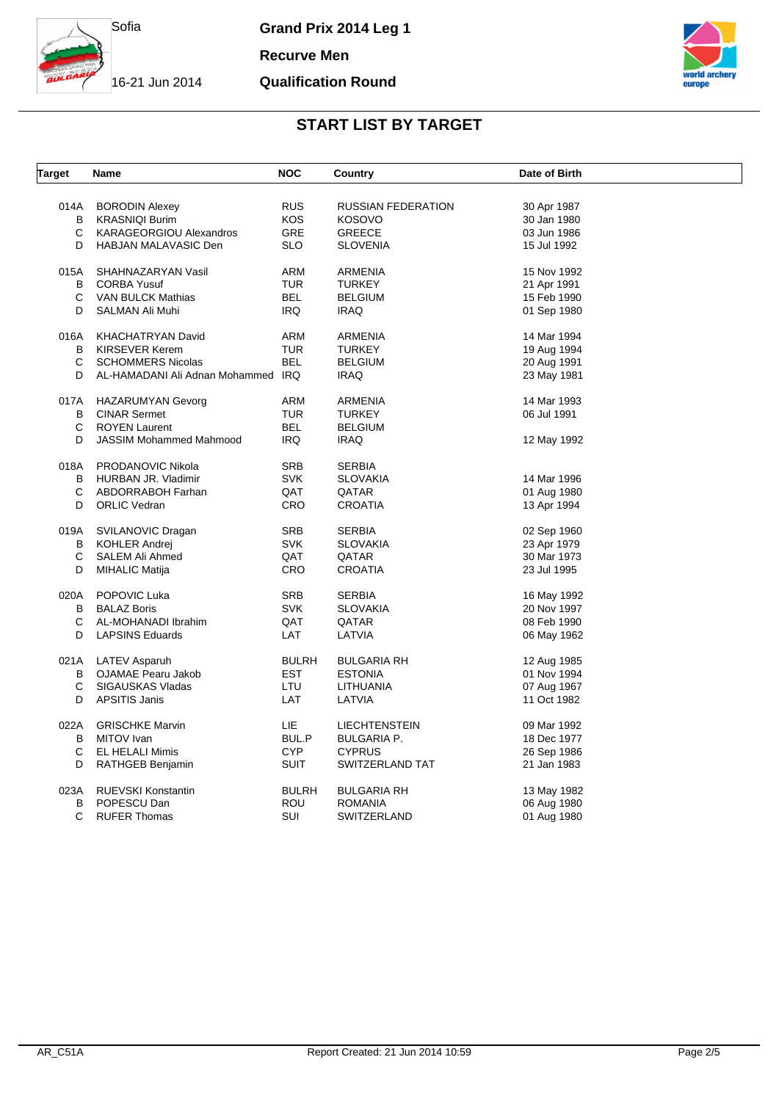

**Recurve Men**

#### **Qualification Round**



| <b>Target</b> | Name                               | <b>NOC</b>   | Country                   | Date of Birth |  |
|---------------|------------------------------------|--------------|---------------------------|---------------|--|
| 014A          | <b>BORODIN Alexey</b>              | <b>RUS</b>   | <b>RUSSIAN FEDERATION</b> | 30 Apr 1987   |  |
| В             | <b>KRASNIQI Burim</b>              | <b>KOS</b>   | <b>KOSOVO</b>             | 30 Jan 1980   |  |
| С             |                                    | <b>GRE</b>   | GREECE                    |               |  |
|               | <b>KARAGEORGIOU Alexandros</b>     |              |                           | 03 Jun 1986   |  |
| D             | <b>HABJAN MALAVASIC Den</b>        | <b>SLO</b>   | <b>SLOVENIA</b>           | 15 Jul 1992   |  |
| 015A          | SHAHNAZARYAN Vasil                 | <b>ARM</b>   | ARMENIA                   | 15 Nov 1992   |  |
| В             | <b>CORBA Yusuf</b>                 | <b>TUR</b>   | <b>TURKEY</b>             | 21 Apr 1991   |  |
| С             | VAN BULCK Mathias                  | <b>BEL</b>   | <b>BELGIUM</b>            | 15 Feb 1990   |  |
| D             | SALMAN Ali Muhi                    | <b>IRQ</b>   | <b>IRAQ</b>               | 01 Sep 1980   |  |
| 016A          | KHACHATRYAN David                  | ARM          | ARMENIA                   | 14 Mar 1994   |  |
| B             | <b>KIRSEVER Kerem</b>              | <b>TUR</b>   | <b>TURKEY</b>             | 19 Aug 1994   |  |
| C             | <b>SCHOMMERS Nicolas</b>           | <b>BEL</b>   | <b>BELGIUM</b>            | 20 Aug 1991   |  |
| D             | AL-HAMADANI Ali Adnan Mohammed IRQ |              | <b>IRAQ</b>               | 23 May 1981   |  |
|               |                                    |              |                           |               |  |
| 017A          | HAZARUMYAN Gevorg                  | ARM          | ARMENIA                   | 14 Mar 1993   |  |
| В<br>C        | <b>CINAR Sermet</b>                | <b>TUR</b>   | <b>TURKEY</b>             | 06 Jul 1991   |  |
|               | <b>ROYEN Laurent</b>               | <b>BEL</b>   | <b>BELGIUM</b>            |               |  |
| D             | <b>JASSIM Mohammed Mahmood</b>     | <b>IRQ</b>   | <b>IRAQ</b>               | 12 May 1992   |  |
| 018A          | PRODANOVIC Nikola                  | <b>SRB</b>   | <b>SERBIA</b>             |               |  |
| B             | HURBAN JR. Vladimir                | <b>SVK</b>   | <b>SLOVAKIA</b>           | 14 Mar 1996   |  |
| C             | ABDORRABOH Farhan                  | QAT          | QATAR                     | 01 Aug 1980   |  |
| D             | <b>ORLIC Vedran</b>                | <b>CRO</b>   | <b>CROATIA</b>            | 13 Apr 1994   |  |
| 019A          | SVILANOVIC Dragan                  | <b>SRB</b>   | <b>SERBIA</b>             | 02 Sep 1960   |  |
| В             | <b>KOHLER Andrej</b>               | <b>SVK</b>   | <b>SLOVAKIA</b>           | 23 Apr 1979   |  |
| С             | SALEM Ali Ahmed                    | QAT          | QATAR                     | 30 Mar 1973   |  |
| D             | <b>MIHALIC Matija</b>              | <b>CRO</b>   | <b>CROATIA</b>            | 23 Jul 1995   |  |
| 020A          | POPOVIC Luka                       | <b>SRB</b>   | <b>SERBIA</b>             | 16 May 1992   |  |
| B             | <b>BALAZ Boris</b>                 | <b>SVK</b>   | <b>SLOVAKIA</b>           | 20 Nov 1997   |  |
| С             | AL-MOHANADI Ibrahim                | QAT          | QATAR                     | 08 Feb 1990   |  |
| D             |                                    |              |                           |               |  |
|               | <b>LAPSINS Eduards</b>             | LAT          | LATVIA                    | 06 May 1962   |  |
|               | 021A LATEV Asparuh                 | <b>BULRH</b> | <b>BULGARIA RH</b>        | 12 Aug 1985   |  |
| В             | OJAMAE Pearu Jakob                 | <b>EST</b>   | <b>ESTONIA</b>            | 01 Nov 1994   |  |
| С             | SIGAUSKAS Vladas                   | LTU          | LITHUANIA                 | 07 Aug 1967   |  |
| D             | <b>APSITIS Janis</b>               | LAT          | LATVIA                    | 11 Oct 1982   |  |
| 022A          | <b>GRISCHKE Marvin</b>             | <b>LIE</b>   | <b>LIECHTENSTEIN</b>      | 09 Mar 1992   |  |
| B             | MITOV Ivan                         | BUL.P        | <b>BULGARIA P.</b>        | 18 Dec 1977   |  |
| С             | EL HELALI Mimis                    | <b>CYP</b>   | <b>CYPRUS</b>             | 26 Sep 1986   |  |
| D             | RATHGEB Benjamin                   | <b>SUIT</b>  | SWITZERLAND TAT           | 21 Jan 1983   |  |
|               |                                    |              |                           |               |  |
| 023A          | RUEVSKI Konstantin                 | <b>BULRH</b> | <b>BULGARIA RH</b>        | 13 May 1982   |  |
| B             | POPESCU Dan                        | <b>ROU</b>   | <b>ROMANIA</b>            | 06 Aug 1980   |  |
| C             | <b>RUFER Thomas</b>                | SUI          | SWITZERLAND               | 01 Aug 1980   |  |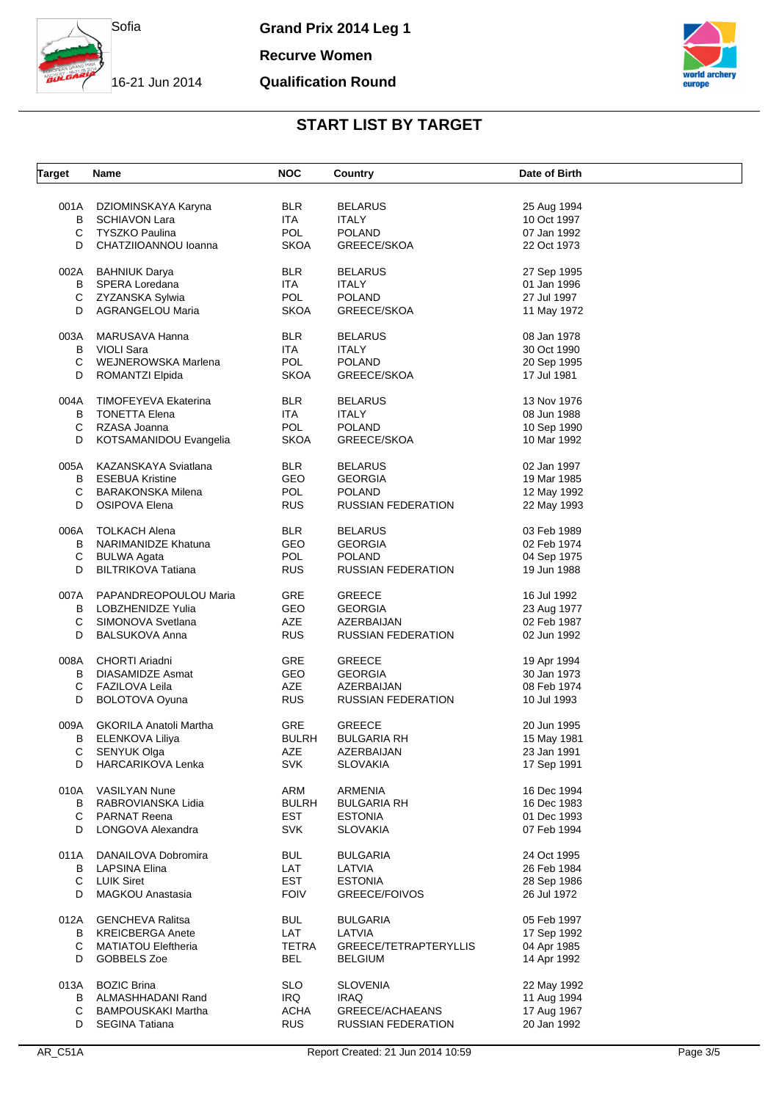

**Recurve Women**

#### **Qualification Round**



| <b>Target</b> | <b>Name</b>                   | <b>NOC</b>   | Country                   | Date of Birth |
|---------------|-------------------------------|--------------|---------------------------|---------------|
| 001A          | DZIOMINSKAYA Karyna           | <b>BLR</b>   | <b>BELARUS</b>            | 25 Aug 1994   |
| В             | <b>SCHIAVON Lara</b>          | ITA.         | <b>ITALY</b>              | 10 Oct 1997   |
| С             | <b>TYSZKO Paulina</b>         | <b>POL</b>   | <b>POLAND</b>             | 07 Jan 1992   |
| D             | CHATZIIOANNOU Ioanna          | <b>SKOA</b>  | GREECE/SKOA               | 22 Oct 1973   |
| 002A          | <b>BAHNIUK Darya</b>          | <b>BLR</b>   | <b>BELARUS</b>            | 27 Sep 1995   |
| В             | SPERA Loredana                | <b>ITA</b>   | <b>ITALY</b>              | 01 Jan 1996   |
| С             | ZYZANSKA Sylwia               | <b>POL</b>   | <b>POLAND</b>             | 27 Jul 1997   |
| D             | <b>AGRANGELOU Maria</b>       | <b>SKOA</b>  | GREECE/SKOA               | 11 May 1972   |
| 003A          | MARUSAVA Hanna                | <b>BLR</b>   | <b>BELARUS</b>            | 08 Jan 1978   |
| В             | <b>VIOLI Sara</b>             | <b>ITA</b>   | <b>ITALY</b>              | 30 Oct 1990   |
| С             | WEJNEROWSKA Marlena           | <b>POL</b>   | <b>POLAND</b>             | 20 Sep 1995   |
| D             | ROMANTZI Elpida               | <b>SKOA</b>  | GREECE/SKOA               | 17 Jul 1981   |
| 004A          | TIMOFEYEVA Ekaterina          | <b>BLR</b>   | <b>BELARUS</b>            | 13 Nov 1976   |
| B             | <b>TONETTA Elena</b>          | ITA.         | <b>ITALY</b>              | 08 Jun 1988   |
| С             | RZASA Joanna                  | <b>POL</b>   | <b>POLAND</b>             | 10 Sep 1990   |
| D             | KOTSAMANIDOU Evangelia        | <b>SKOA</b>  | GREECE/SKOA               | 10 Mar 1992   |
| 005A          | KAZANSKAYA Sviatlana          | <b>BLR</b>   | <b>BELARUS</b>            | 02 Jan 1997   |
| B             | <b>ESEBUA Kristine</b>        | <b>GEO</b>   | <b>GEORGIA</b>            | 19 Mar 1985   |
| С             | BARAKONSKA Milena             | <b>POL</b>   | <b>POLAND</b>             | 12 May 1992   |
| D             | OSIPOVA Elena                 | <b>RUS</b>   | <b>RUSSIAN FEDERATION</b> | 22 May 1993   |
| 006A          | <b>TOLKACH Alena</b>          | <b>BLR</b>   | <b>BELARUS</b>            | 03 Feb 1989   |
| В             | NARIMANIDZE Khatuna           | <b>GEO</b>   | <b>GEORGIA</b>            | 02 Feb 1974   |
| C             | <b>BULWA Agata</b>            | <b>POL</b>   | <b>POLAND</b>             | 04 Sep 1975   |
| D             | <b>BILTRIKOVA Tatiana</b>     | <b>RUS</b>   | <b>RUSSIAN FEDERATION</b> | 19 Jun 1988   |
| 007A          | PAPANDREOPOULOU Maria         | <b>GRE</b>   | <b>GREECE</b>             | 16 Jul 1992   |
| B             | LOBZHENIDZE Yulia             | <b>GEO</b>   | <b>GEORGIA</b>            | 23 Aug 1977   |
| С             | SIMONOVA Svetlana             | <b>AZE</b>   | AZERBAIJAN                | 02 Feb 1987   |
| D             | <b>BALSUKOVA Anna</b>         | <b>RUS</b>   | <b>RUSSIAN FEDERATION</b> | 02 Jun 1992   |
| 008A          | <b>CHORTI Ariadni</b>         | GRE          | <b>GREECE</b>             | 19 Apr 1994   |
| B             | <b>DIASAMIDZE Asmat</b>       | GEO          | <b>GEORGIA</b>            | 30 Jan 1973   |
| С             | FAZILOVA Leila                | <b>AZE</b>   | AZERBAIJAN                | 08 Feb 1974   |
| D             | BOLOTOVA Oyuna                | <b>RUS</b>   | <b>RUSSIAN FEDERATION</b> | 10 Jul 1993   |
| 009A          | <b>GKORILA Anatoli Martha</b> | GRE          | <b>GREECE</b>             | 20 Jun 1995   |
| В             | ELENKOVA Liliya               | <b>BULRH</b> | <b>BULGARIA RH</b>        | 15 May 1981   |
| C             | SENYUK Olga                   | AZE          | AZERBAIJAN                | 23 Jan 1991   |
| D             | HARCARIKOVA Lenka             | <b>SVK</b>   | <b>SLOVAKIA</b>           | 17 Sep 1991   |
| 010A          | <b>VASILYAN Nune</b>          | ARM          | <b>ARMENIA</b>            | 16 Dec 1994   |
| В             | RABROVIANSKA Lidia            | <b>BULRH</b> | <b>BULGARIA RH</b>        | 16 Dec 1983   |
| С             | PARNAT Reena                  | <b>EST</b>   | <b>ESTONIA</b>            | 01 Dec 1993   |
| D             | LONGOVA Alexandra             | <b>SVK</b>   | <b>SLOVAKIA</b>           | 07 Feb 1994   |
| 011A          | DANAILOVA Dobromira           | <b>BUL</b>   | <b>BULGARIA</b>           | 24 Oct 1995   |
| В             | <b>LAPSINA Elina</b>          | LAT          | LATVIA                    | 26 Feb 1984   |
| C             | <b>LUIK Siret</b>             | <b>EST</b>   | <b>ESTONIA</b>            | 28 Sep 1986   |
| D             | <b>MAGKOU Anastasia</b>       | <b>FOIV</b>  | GREECE/FOIVOS             | 26 Jul 1972   |
| 012A          | <b>GENCHEVA Ralitsa</b>       | <b>BUL</b>   | <b>BULGARIA</b>           | 05 Feb 1997   |
| В             | <b>KREICBERGA Anete</b>       | LAT          | LATVIA                    | 17 Sep 1992   |
| C             | <b>MATIATOU Eleftheria</b>    | TETRA        | GREECE/TETRAPTERYLLIS     | 04 Apr 1985   |
| D             | GOBBELS Zoe                   | <b>BEL</b>   | <b>BELGIUM</b>            | 14 Apr 1992   |
| 013A          | <b>BOZIC Brina</b>            | SLO.         | <b>SLOVENIA</b>           | 22 May 1992   |
| В             | ALMASHHADANI Rand             | IRQ          | <b>IRAQ</b>               | 11 Aug 1994   |
| С             | <b>BAMPOUSKAKI Martha</b>     | ACHA         | GREECE/ACHAEANS           | 17 Aug 1967   |
| D             | <b>SEGINA Tatiana</b>         | <b>RUS</b>   | <b>RUSSIAN FEDERATION</b> | 20 Jan 1992   |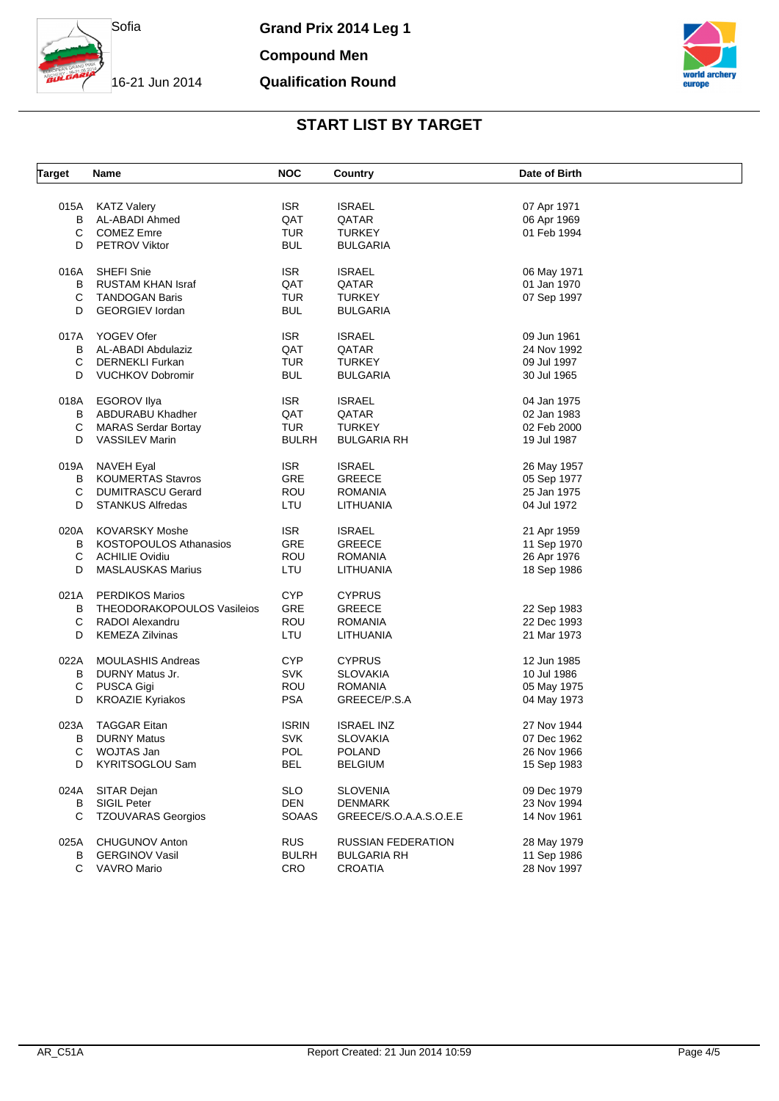

**Compound Men**

## **Qualification Round**



| <b>Target</b> | Name                                | <b>NOC</b>        | <b>Country</b>         | Date of Birth              |
|---------------|-------------------------------------|-------------------|------------------------|----------------------------|
|               |                                     |                   |                        |                            |
|               | 015A KATZ Valery                    | <b>ISR</b><br>QAT | <b>ISRAEL</b>          | 07 Apr 1971                |
| B<br>С        | AL-ABADI Ahmed<br><b>COMEZ Emre</b> | <b>TUR</b>        | QATAR<br><b>TURKEY</b> | 06 Apr 1969<br>01 Feb 1994 |
| D             | PETROV Viktor                       | <b>BUL</b>        | <b>BULGARIA</b>        |                            |
|               |                                     |                   |                        |                            |
| 016A          | <b>SHEFI Snie</b>                   | <b>ISR</b>        | <b>ISRAEL</b>          | 06 May 1971                |
| В             | RUSTAM KHAN Israf                   | QAT               | QATAR                  | 01 Jan 1970                |
| С             | <b>TANDOGAN Baris</b>               | <b>TUR</b>        | <b>TURKEY</b>          | 07 Sep 1997                |
| D             | <b>GEORGIEV</b> lordan              | <b>BUL</b>        | <b>BULGARIA</b>        |                            |
| 017A          | YOGEV Ofer                          | <b>ISR</b>        | <b>ISRAEL</b>          | 09 Jun 1961                |
| В             | AL-ABADI Abdulaziz                  | QAT               | QATAR                  | 24 Nov 1992                |
| C             | <b>DERNEKLI Furkan</b>              | <b>TUR</b>        | <b>TURKEY</b>          | 09 Jul 1997                |
| D             | <b>VUCHKOV Dobromir</b>             | <b>BUL</b>        | BULGARIA               | 30 Jul 1965                |
|               |                                     |                   |                        |                            |
| 018A          | <b>EGOROV Ilya</b>                  | <b>ISR</b>        | <b>ISRAEL</b>          | 04 Jan 1975                |
| В             | ABDURABU Khadher                    | QAT               | QATAR                  | 02 Jan 1983                |
| С             | <b>MARAS Serdar Bortay</b>          | <b>TUR</b>        | <b>TURKEY</b>          | 02 Feb 2000                |
| D             | <b>VASSILEV Marin</b>               | <b>BULRH</b>      | <b>BULGARIA RH</b>     | 19 Jul 1987                |
| 019A          | NAVEH Eyal                          | <b>ISR</b>        | <b>ISRAEL</b>          | 26 May 1957                |
| В             | <b>KOUMERTAS Stavros</b>            | <b>GRE</b>        | GREECE                 | 05 Sep 1977                |
| С             | <b>DUMITRASCU Gerard</b>            | ROU               | <b>ROMANIA</b>         | 25 Jan 1975                |
| D             | <b>STANKUS Alfredas</b>             | LTU               | LITHUANIA              | 04 Jul 1972                |
|               |                                     |                   |                        |                            |
| 020A          | <b>KOVARSKY Moshe</b>               | <b>ISR</b>        | <b>ISRAEL</b>          | 21 Apr 1959                |
| В             | <b>KOSTOPOULOS Athanasios</b>       | GRE               | <b>GREECE</b>          | 11 Sep 1970                |
| С             | <b>ACHILIE Ovidiu</b>               | ROU               | <b>ROMANIA</b>         | 26 Apr 1976                |
| D             | <b>MASLAUSKAS Marius</b>            | LTU               | LITHUANIA              | 18 Sep 1986                |
| 021A          | <b>PERDIKOS Marios</b>              | <b>CYP</b>        | <b>CYPRUS</b>          |                            |
| В             | THEODORAKOPOULOS Vasileios          | GRE               | <b>GREECE</b>          | 22 Sep 1983                |
| С             | RADOI Alexandru                     | ROU               | <b>ROMANIA</b>         | 22 Dec 1993                |
| D             | <b>KEMEZA Zilvinas</b>              | LTU               | LITHUANIA              | 21 Mar 1973                |
|               |                                     |                   |                        |                            |
| 022A          | <b>MOULASHIS Andreas</b>            | <b>CYP</b>        | <b>CYPRUS</b>          | 12 Jun 1985                |
| В             | DURNY Matus Jr.                     | <b>SVK</b>        | SLOVAKIA               | 10 Jul 1986                |
| С             | PUSCA Gigi                          | ROU               | <b>ROMANIA</b>         | 05 May 1975                |
| D             | <b>KROAZIE Kyriakos</b>             | <b>PSA</b>        | GREECE/P.S.A           | 04 May 1973                |
| 023A          | <b>TAGGAR Eitan</b>                 | <b>ISRIN</b>      | <b>ISRAEL INZ</b>      | 27 Nov 1944                |
| в             | <b>DURNY Matus</b>                  | <b>SVK</b>        | SLOVAKIA               | 07 Dec 1962                |
| С             | WOJTAS Jan                          | <b>POL</b>        | <b>POLAND</b>          | 26 Nov 1966                |
| D             | KYRITSOGLOU Sam                     | <b>BEL</b>        | <b>BELGIUM</b>         | 15 Sep 1983                |
|               |                                     |                   |                        |                            |
| 024A          | SITAR Dejan                         | <b>SLO</b>        | <b>SLOVENIA</b>        | 09 Dec 1979                |
| В             | SIGIL Peter                         | <b>DEN</b>        | <b>DENMARK</b>         | 23 Nov 1994                |
| С             | <b>TZOUVARAS Georgios</b>           | <b>SOAAS</b>      | GREECE/S.O.A.A.S.O.E.E | 14 Nov 1961                |
|               |                                     |                   |                        |                            |
| 025A          | <b>CHUGUNOV Anton</b>               | <b>RUS</b>        | RUSSIAN FEDERATION     | 28 May 1979                |
| В             | <b>GERGINOV Vasil</b>               | <b>BULRH</b>      | <b>BULGARIA RH</b>     | 11 Sep 1986                |
| C             | VAVRO Mario                         | <b>CRO</b>        | <b>CROATIA</b>         | 28 Nov 1997                |